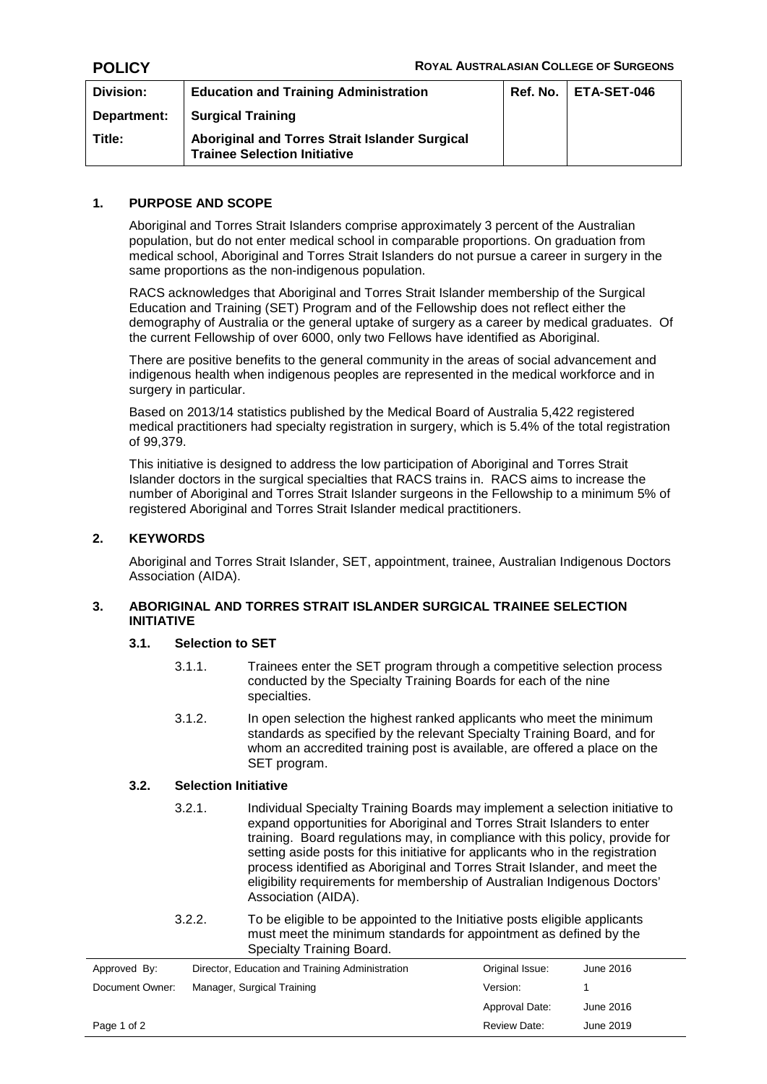| Division:   | <b>Education and Training Administration</b>                                          | Ref. No. | ETA-SET-046 |
|-------------|---------------------------------------------------------------------------------------|----------|-------------|
| Department: | <b>Surgical Training</b>                                                              |          |             |
| Title:      | Aboriginal and Torres Strait Islander Surgical<br><b>Trainee Selection Initiative</b> |          |             |

## **1. PURPOSE AND SCOPE**

Aboriginal and Torres Strait Islanders comprise approximately 3 percent of the Australian population, but do not enter medical school in comparable proportions. On graduation from medical school, Aboriginal and Torres Strait Islanders do not pursue a career in surgery in the same proportions as the non-indigenous population.

RACS acknowledges that Aboriginal and Torres Strait Islander membership of the Surgical Education and Training (SET) Program and of the Fellowship does not reflect either the demography of Australia or the general uptake of surgery as a career by medical graduates. Of the current Fellowship of over 6000, only two Fellows have identified as Aboriginal.

There are positive benefits to the general community in the areas of social advancement and indigenous health when indigenous peoples are represented in the medical workforce and in surgery in particular.

Based on 2013/14 statistics published by the Medical Board of Australia 5,422 registered medical practitioners had specialty registration in surgery, which is 5.4% of the total registration of 99,379.

This initiative is designed to address the low participation of Aboriginal and Torres Strait Islander doctors in the surgical specialties that RACS trains in. RACS aims to increase the number of Aboriginal and Torres Strait Islander surgeons in the Fellowship to a minimum 5% of registered Aboriginal and Torres Strait Islander medical practitioners.

# **2. KEYWORDS**

Aboriginal and Torres Strait Islander, SET, appointment, trainee, Australian Indigenous Doctors Association (AIDA).

## **3. ABORIGINAL AND TORRES STRAIT ISLANDER SURGICAL TRAINEE SELECTION INITIATIVE**

## **3.1. Selection to SET**

- 3.1.1. Trainees enter the SET program through a competitive selection process conducted by the Specialty Training Boards for each of the nine specialties.
- 3.1.2. In open selection the highest ranked applicants who meet the minimum standards as specified by the relevant Specialty Training Board, and for whom an accredited training post is available, are offered a place on the SET program.

## **3.2. Selection Initiative**

- 3.2.1. Individual Specialty Training Boards may implement a selection initiative to expand opportunities for Aboriginal and Torres Strait Islanders to enter training. Board regulations may, in compliance with this policy, provide for setting aside posts for this initiative for applicants who in the registration process identified as Aboriginal and Torres Strait Islander, and meet the eligibility requirements for membership of Australian Indigenous Doctors' Association (AIDA).
- 3.2.2. To be eligible to be appointed to the Initiative posts eligible applicants must meet the minimum standards for appointment as defined by the Specialty Training Board.

| Approved By:    | Director, Education and Training Administration | Original Issue:     | June 2016 |
|-----------------|-------------------------------------------------|---------------------|-----------|
| Document Owner: | Manager, Surgical Training                      | Version:            |           |
|                 |                                                 | Approval Date:      | June 2016 |
| Page 1 of 2     |                                                 | <b>Review Date:</b> | June 2019 |